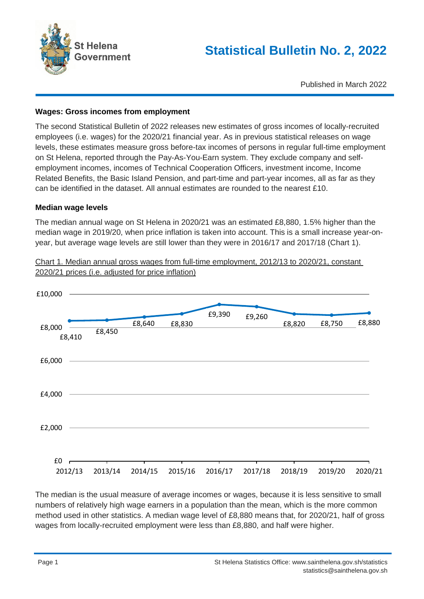

Published in March 2022

### **Wages: Gross incomes from employment**

The second Statistical Bulletin of 2022 releases new estimates of gross incomes of locally-recruited employees (i.e. wages) for the 2020/21 financial year. As in previous statistical releases on wage levels, these estimates measure gross before-tax incomes of persons in regular full-time employment on St Helena, reported through the Pay-As-You-Earn system. They exclude company and selfemployment incomes, incomes of Technical Cooperation Officers, investment income, Income Related Benefits, the Basic Island Pension, and part-time and part-year incomes, all as far as they can be identified in the dataset. All annual estimates are rounded to the nearest £10.

#### **Median wage levels**

The median annual wage on St Helena in 2020/21 was an estimated £8,880, 1.5% higher than the median wage in 2019/20, when price inflation is taken into account. This is a small increase year-onyear, but average wage levels are still lower than they were in 2016/17 and 2017/18 (Chart 1).



Chart 1. Median annual gross wages from full-time employment, 2012/13 to 2020/21, constant 2020/21 prices (i.e. adjusted for price inflation)

The median is the usual measure of average incomes or wages, because it is less sensitive to small numbers of relatively high wage earners in a population than the mean, which is the more common method used in other statistics. A median wage level of £8,880 means that, for 2020/21, half of gross wages from locally-recruited employment were less than £8,880, and half were higher.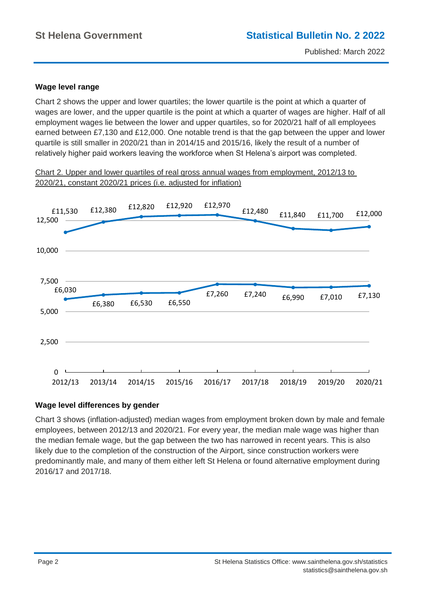## **Wage level range**

Chart 2 shows the upper and lower quartiles; the lower quartile is the point at which a quarter of wages are lower, and the upper quartile is the point at which a quarter of wages are higher. Half of all employment wages lie between the lower and upper quartiles, so for 2020/21 half of all employees earned between £7,130 and £12,000. One notable trend is that the gap between the upper and lower quartile is still smaller in 2020/21 than in 2014/15 and 2015/16, likely the result of a number of relatively higher paid workers leaving the workforce when St Helena's airport was completed.

Chart 2. Upper and lower quartiles of real gross annual wages from employment, 2012/13 to 2020/21, constant 2020/21 prices (i.e. adjusted for inflation)



### **Wage level differences by gender**

Chart 3 shows (inflation-adjusted) median wages from employment broken down by male and female employees, between 2012/13 and 2020/21. For every year, the median male wage was higher than the median female wage, but the gap between the two has narrowed in recent years. This is also likely due to the completion of the construction of the Airport, since construction workers were predominantly male, and many of them either left St Helena or found alternative employment during 2016/17 and 2017/18.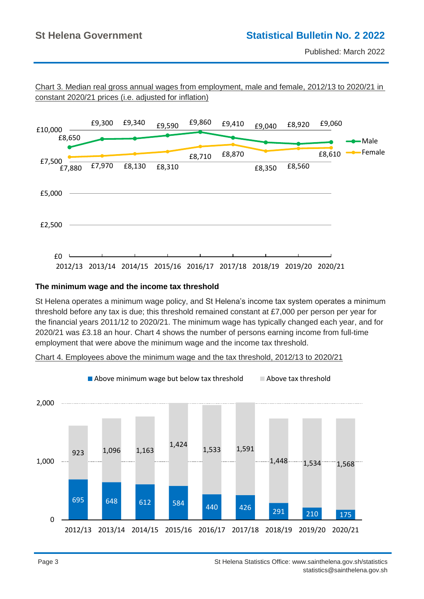Published: March 2022



Chart 3. Median real gross annual wages from employment, male and female, 2012/13 to 2020/21 in constant 2020/21 prices (i.e. adjusted for inflation)

### **The minimum wage and the income tax threshold**

St Helena operates a minimum wage policy, and St Helena's income tax system operates a minimum threshold before any tax is due; this threshold remained constant at £7,000 per person per year for the financial years 2011/12 to 2020/21. The minimum wage has typically changed each year, and for 2020/21 was £3.18 an hour. Chart 4 shows the number of persons earning income from full-time employment that were above the minimum wage and the income tax threshold.

Chart 4. Employees above the minimum wage and the tax threshold, 2012/13 to 2020/21

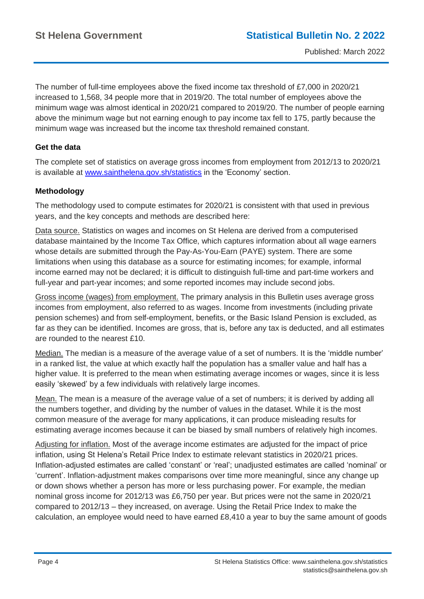The number of full-time employees above the fixed income tax threshold of £7,000 in 2020/21 increased to 1,568, 34 people more that in 2019/20. The total number of employees above the minimum wage was almost identical in 2020/21 compared to 2019/20. The number of people earning above the minimum wage but not earning enough to pay income tax fell to 175, partly because the minimum wage was increased but the income tax threshold remained constant.

## **Get the data**

The complete set of statistics on average gross incomes from employment from 2012/13 to 2020/21 is available at www.sainthelena.gov.sh/statistics in the 'Economy' section.

# **Methodology**

The methodology used to compute estimates for 2020/21 is consistent with that used in previous years, and the key concepts and methods are described here:

Data source. Statistics on wages and incomes on St Helena are derived from a computerised database maintained by the Income Tax Office, which captures information about all wage earners whose details are submitted through the Pay-As-You-Earn (PAYE) system. There are some limitations when using this database as a source for estimating incomes; for example, informal income earned may not be declared; it is difficult to distinguish full-time and part-time workers and full-year and part-year incomes; and some reported incomes may include second jobs.

Gross income (wages) from employment. The primary analysis in this Bulletin uses average gross incomes from employment, also referred to as wages. Income from investments (including private pension schemes) and from self-employment, benefits, or the Basic Island Pension is excluded, as far as they can be identified. Incomes are gross, that is, before any tax is deducted, and all estimates are rounded to the nearest £10.

Median. The median is a measure of the average value of a set of numbers. It is the 'middle number' in a ranked list, the value at which exactly half the population has a smaller value and half has a higher value. It is preferred to the mean when estimating average incomes or wages, since it is less easily 'skewed' by a few individuals with relatively large incomes.

Mean. The mean is a measure of the average value of a set of numbers; it is derived by adding all the numbers together, and dividing by the number of values in the dataset. While it is the most common measure of the average for many applications, it can produce misleading results for estimating average incomes because it can be biased by small numbers of relatively high incomes.

Adjusting for inflation. Most of the average income estimates are adjusted for the impact of price inflation, using St Helena's Retail Price Index to estimate relevant statistics in 2020/21 prices. Inflation-adjusted estimates are called 'constant' or 'real'; unadjusted estimates are called 'nominal' or 'current'. Inflation-adjustment makes comparisons over time more meaningful, since any change up or down shows whether a person has more or less purchasing power. For example, the median nominal gross income for 2012/13 was £6,750 per year. But prices were not the same in 2020/21 compared to 2012/13 – they increased, on average. Using the Retail Price Index to make the calculation, an employee would need to have earned £8,410 a year to buy the same amount of goods